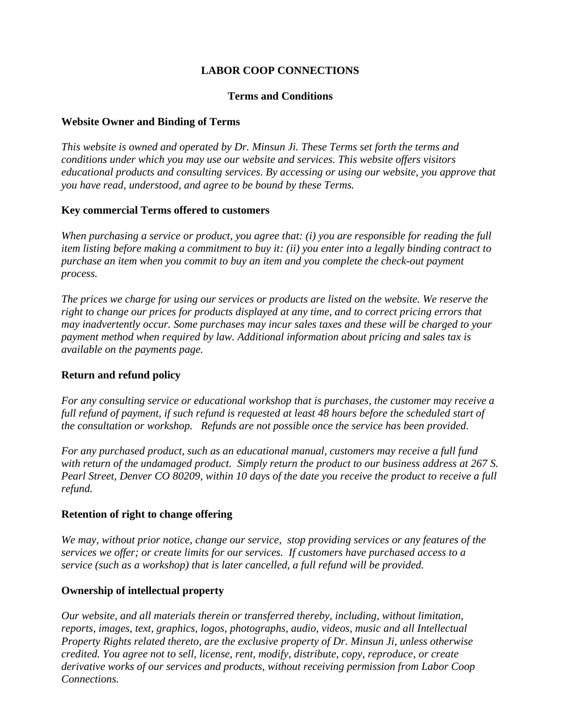# **LABOR COOP CONNECTIONS**

### **Terms and Conditions**

#### **Website Owner and Binding of Terms**

*This website is owned and operated by Dr. Minsun Ji. These Terms set forth the terms and conditions under which you may use our website and services. This website offers visitors educational products and consulting services. By accessing or using our website, you approve that you have read, understood, and agree to be bound by these Terms.*

### **Key commercial Terms offered to customers**

*When purchasing a service or product, you agree that: (i) you are responsible for reading the full item listing before making a commitment to buy it: (ii) you enter into a legally binding contract to purchase an item when you commit to buy an item and you complete the check-out payment process.*

*The prices we charge for using our services or products are listed on the website. We reserve the right to change our prices for products displayed at any time, and to correct pricing errors that may inadvertently occur. Some purchases may incur sales taxes and these will be charged to your payment method when required by law. Additional information about pricing and sales tax is available on the payments page.*

# **Return and refund policy**

*For any consulting service or educational workshop that is purchases, the customer may receive a full refund of payment, if such refund is requested at least 48 hours before the scheduled start of the consultation or workshop. Refunds are not possible once the service has been provided.*

*For any purchased product, such as an educational manual, customers may receive a full fund with return of the undamaged product. Simply return the product to our business address at 267 S. Pearl Street, Denver CO 80209, within 10 days of the date you receive the product to receive a full refund.*

# **Retention of right to change offering**

*We may, without prior notice, change our service, stop providing services or any features of the services we offer; or create limits for our services. If customers have purchased access to a service (such as a workshop) that is later cancelled, a full refund will be provided.*

# **Ownership of intellectual property**

*Our website, and all materials therein or transferred thereby, including, without limitation, reports, images, text, graphics, logos, photographs, audio, videos, music and all Intellectual Property Rights related thereto, are the exclusive property of Dr. Minsun Ji, unless otherwise credited. You agree not to sell, license, rent, modify, distribute, copy, reproduce, or create derivative works of our services and products, without receiving permission from Labor Coop Connections.*